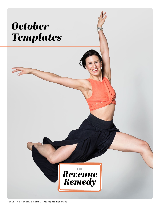# *October Templates*



®2018 THE REVENUE REMEDY All Rights Reserved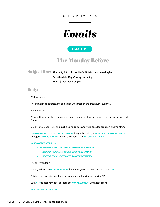OCTOBER TEMPLATES

Subject line: **Tick tock, tick tock, the BLACK FRIDAY countdown begins…**

 **Save the date: Mega Savings incoming! The \$\$\$ countdown begins!** 

## Body:

We love winter.

The pumpkin spice lattes, the apple cider, the trees on the ground, the turkey…

And the SALES!

We're getting in on the Thanksgiving spirit, and putting together something real special for Black Friday...

Mark your calendar folks and buckle up folks, because we're about to drop some bomb offers:

*<<OFFER NAME>>* is a *<<TYPE OF OFFER>>* designed to help you *<<DESIRED CLIENT RESULT>>*  through *<<STUDIO NAME>>*'s innovative approach to *<<YOUR SPECIALITY>>*.

#### *<< ADD OFFER DETAILS>>*

- *• <<BENEFIT FOR CLIENT LINKED TO OFFER FEATURE>>*
- *• <<BENEFIT FOR CLIENT LINKED TO OFFER FEATURE>>*
- *• <<BENEFIT FOR CLIENT LINKED TO OFFER FEATURE>>*

The cherry on top?

When you invest in *<<OFFER NAME>>* this Friday, you save *X*% of the cost, or a \$*XXX*.

This is your chance to invest in your body while still saving, and saving BIG.

Click *here* to set a reminder to check out *<<OFFER NAME>>* when it goes live.

*<<SIGNATURE SIGN-OFF>>*

# The Monday Before

## **EMAIL #1**

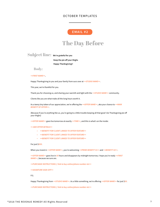#### OCTOBER TEMPLATES

### Subject line: **We're grateful for you**

 **Keep the pie off your thighs Happy Thanksgiving!!**

Body:

#### *<<FIRST NAME>>*,

Happy Thanksgiving to you and your family from ours over at *<<STUDIO NAME>>*.

This year, we're thankful for you.

Thank you for choosing us, and sharing your warmth and light with the *<<STUDIO NAME>>* community.

Clients like you are what make all the long hours worth it.

As a teeny tiny token of our appreciation, we're offering the *<<OFFER NAME>>*, aka your chance to *<<MAIN BENEFIT OF OFFER>>*.

(Because if you're anything like us, you're going to a little trouble keeping all that good 'ole Thanksgiving pie off your thighs)

*<<OFFER NAME>>* goes live tomorrow at exactly *<<TIME>>*, and this is what's on the inside:

#### *<< ADD OFFER DETAILS>>*

- *• <<BENEFIT FOR CLIENT LINKED TO OFFER FEATURE>>*
- *• <<BENEFIT FOR CLIENT LINKED TO OFFER FEATURE>>*
- *• <<BENEFIT FOR CLIENT LINKED TO OFFER FEATURE>>*

#### For just \$*XXX*.

When you invest in *<<OFFER NAME>>*, you're welcoming *<<PRIME BENEFIT #1>>* and *<<BENEFIT #2>>*.

*<<OFFER NAME>>* goes live in *XX* hours and disappears by midnight tomorrow, I hope you're ready *<<FIRST* 

*NAME>>*, because we sure are.

*<<PURCHASE INSTRUCTIONS // link to buy online/phone number etc>>* 

*<<SIGNATURE SIGN-OFF>>* 

P.S.

Happy Thanksgiving from *<<STUDIO NAME>>*. As a little something, we're offering *<<OFFER NAME>>* for just \$*XX*.

*<<PURCHASE INSTRUCTIONS // link to buy online/phone number etc>>*

## The Day Before

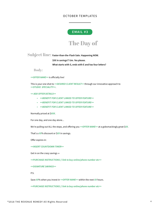#### OCTOBER TEMPLATES

Subject line: **Faster-than-the-Flash Sale. Happening NOW.** 

 **\$XX in savings!? Um. Yes please.** 

 **What starts with S, ends with E and has four letters?**

Body:

*<<OFFER NAME>>* is officially live!

This is your one shot to *<<DESIRED CLIENT RESULT>>* through our innovative approach to *<<STUDIO SPECIALITY>>*.

#### *<< ADD OFFER DETAILS>>*

- *• <<BENEFIT FOR CLIENT LINKED TO OFFER FEATURE>>*
- *• <<BENEFIT FOR CLIENT LINKED TO OFFER FEATURE>>*
- *• <<BENEFIT FOR CLIENT LINKED TO OFFER FEATURE>>*

Normally priced at \$*XXX*.

For one day, and one day alone...

We're pulling out ALL the stops, and offering you *<<OFFER NAME>>* at a gobsmackingly great \$*XX*.

That's a *XX*% discount or \$*XX* in savings.

Offer expires in:

*<<INSERT COUNTDOWN TIMER>>* 

Get in on the crazy savings  $\rightarrow$ 

*<<PURCHASE INSTRUCTIONS // link to buy online/phone number etc>>* 

*<<SIGNATURE SAVINGS>>* 

P.S.

Save *XX*% when you invest in *<<OFFER NAME>>* within the next *XX* hours.

*<<PURCHASE INSTRUCTIONS // link to buy online/phone number etc>>*

# The Day of

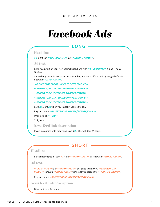#### OCTOBER TEMPLATES

# *Facebook Ads*

### Headline

*XX*% off for *<<OFFER NAME>>* at *<< STUDIO NAME>>*.

#### Ad text

Get a head start on your New Year's Resolutions with *<<STUDIO NAME>>*'s Black Friday special.

Supercharge your fitness goals this November, and stave off the holiday weight before it hits with *<<OFFER NAME>>*.

*<<BENEFIT FOR CLIENT LINKED TO OFFER FEATURE>>* 

*<<BENEFIT FOR CLIENT LINKED TO OFFER FEATURE>>* 

*<<BENEFIT FOR CLIENT LINKED TO OFFER FEATURE>>* 

*<<BENEFIT FOR CLIENT LINKED TO OFFER FEATURE>>* 

*<<BENEFIT FOR CLIENT LINKED TO OFFER FEATURE>>* 

Save *XX*% or \$*XX* when you invest in yourself today.

Register now → *<<INSERT PHONE NUMBER/WEBSITE/EMAIL>>*

Offer lasts till *<<TIME>>*

Tick, tock.

News feed link description

Invest in yourself with today and save \$*XX*. Offer valid for 24 hours.

## **LONG**

### Headline

Black Friday Special! Save *XX*% on *<<TYPE OF CLASS>>* classes with *<<STUDIO NAME>>*.

### Ad text

*<<OFFER NAME>>* is a *<<TYPE OF OFFER>>* designed to help you *<<DESIRED CLIENT RESULT>>* through *<<STUDIO NAME>>*'s innovative approach to *<<YOUR SPECIALITY>>*.

Register now → *<<INSERT PHONE NUMBER/WEBSITE/EMAIL>>*

News feed link description

Offer expires in 24 hours!

## **SHORT**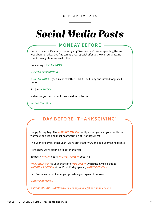#### OCTOBER TEMPLATES

# *Social Media Posts*

Can you believe it's almost Thanksgiving? We sure can't. We're spending the last week before Turkey Day fine tuning a real special offer to show all our amazing clients how grateful we are for them.

Presenting *<<OFFER NAME>>*:

*<<OFFER DESCRIPTION>>* 

*<<OFFER NAME>>* goes live at exactly <<TIME>> on Friday and is valid for just 24 hours.

For just *<<PRICE>>*.

Make sure you get on our list so you don't miss out!

*<<LINK TO LIST>>*

## **MONDAY BEFORE**

Happy Turkey Day! The *<<STUDIO NAME>>* family wishes you and your family the warmest, coziest, and most heartwarming of Thanksgivings!

This year (like every other year), we're grateful for YOU and all our amazing clients!

Here's how we're planning to say thank-you:

In exactly *<<XX>>* hours, *<<OFFER NAME>>* goes live.

*<<OFFER NAME>>* is your chance to *<<DETAILS>>* which usually sells out at *<<REGULAR PRICE>>* at our Black Friday special, *<<OFFER PRICE>>*.

Here's a sneak peek at what you get when you sign up tomorrow:

*<<OFFER DETAILS>>* 

*<<PURCHASE INSTRUCTIONS // link to buy online/phone number etc>>*

## **DAY BEFORE (THANKSGIVING)**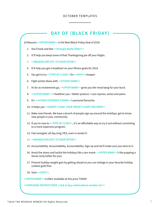#### OCTOBER TEMPLATES

18 Reasons *<<OFFER NAME>>* is the Best Black Friday Deal of 2018

- 1. You'll look and feel *<<stronger/better/fitter>>*
- 2. It'll help you keep some of that Thanksgiving pie off your thighs.
- *3. <<REASON SPECIFIC TO YOUR OFFER>>*
- 4. It'll help you get a headstart on your fitness goals for 2019.
- 5. You get to try *<<TYPE OF CLASS>>* for *<<XX%>>* cheaper.
- 6. Fight winter blues with *<<STUDIO NAME>>*
- 7. As far as investments go, *<<OFFER NAME>>* gives you the most bang for your buck.
- 8. *<<OFFER NAME>>* = Healthier you = Better posture = Less injuries, aches and pains
- 9. It's *<<STUDIO FOUNDER'S NAME>>*'s personal favourite.
- 10. It helps you *<<INSERT A GOAL YOUR TARGET CLIENT HAS HERE>>*
- 11. Make new friends. We have a bunch of people sign up around the holidays, get to know new people in your community.
- 12. If you're new to *<<TYPE OF CLASS>>*, it's an affordable way to try it out without commiting to a more expensive program.
- 13. Feel energetic all day long (YES, even in winter!!)
- *14. <<REASON SPECIFIC TO YOUR OFFER>>*
- 15. Accountability. Accountability. Accountability. Sign up and we'll make sure you stick to it.
- 16. Avoid the stress and tackle the holidays like a zen monk. *<<OFFER NAME>>*'s like popping a Xanax (only better for you)

17. Prevent holiday weight gain by getting ahead so you can indulge in your favorite holiday cookies guilt-free.

18. Save *<<\$XXX>>*.

*<<OFFER NAME>>* is ONLY available at this price TODAY.

*<<PURCHASE INSTRUCTIONS // link to buy online/phone number etc>>*

## **DAY OF (BLACK FRIDAY)**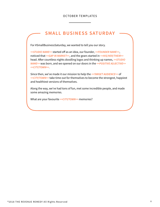#### OCTOBER TEMPLATES

For #SmallBusinessSaturday, we wanted to tell you our story.

*<<STUDIO NAME>>* started off as an idea, our founder, *<<FOUNDER NAME>>*, noticed that *<<GAP IN MARKET>>*, and the gears started in *<<HIS/HER/THEIR>>* head. Afer countless nights doodling logos and thinking up names, *<<STUDIO NAME>>* was born, and we opened on our doors in the *<<POSITIVE ADJECTIVE>> <<CITY/TOWN>>*.

Since then, we've made it our mission to help the *<<TARGET AUDIENCE>>* of *<<CITY/TOWN>>* take time out for themselves to become the strongest, happiest and healthiest versions of themselves.

Along the way, we've had tons of fun, met some incredible people, and made some amazing memories.

What are your favourite *<<CITY/TOWN>>* memories?

## **SMALL BUSINESS SATURDAY**